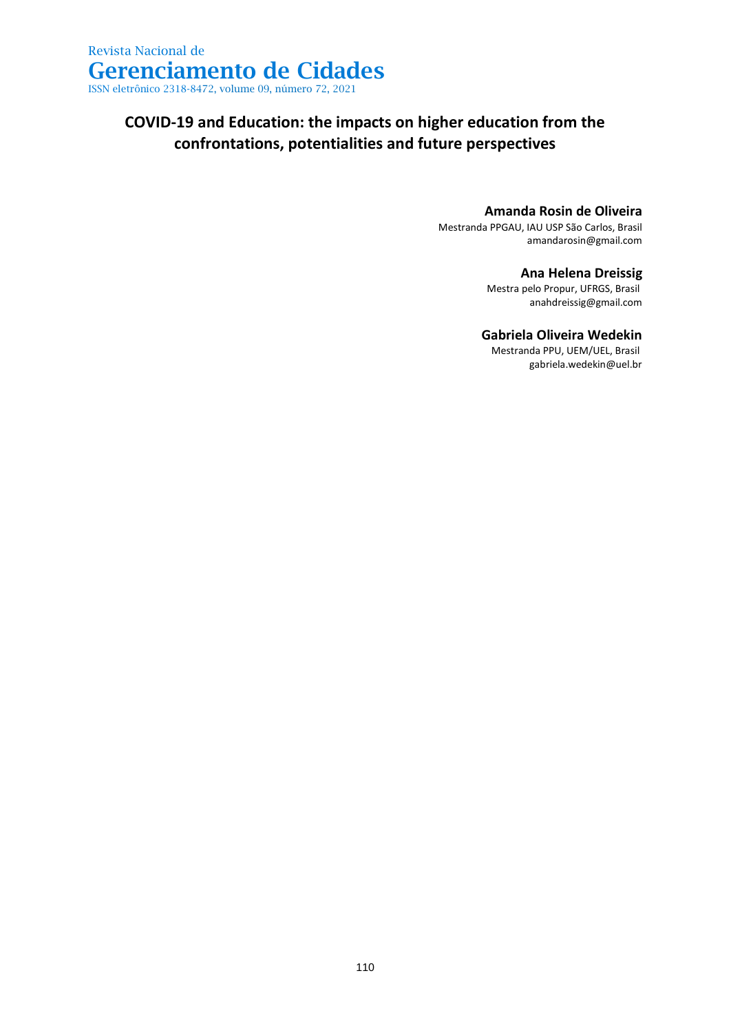## **COVID-19 and Education: the impacts on higher education from the confrontations, potentialities and future perspectives**

### **Amanda Rosin de Oliveira**

Mestranda PPGAU, IAU USP São Carlos, Brasil amandarosin@gmail.com

### **Ana Helena Dreissig**

Mestra pelo Propur, UFRGS, Brasil anahdreissig@gmail.com

### **Gabriela Oliveira Wedekin**

Mestranda PPU, UEM/UEL, Brasil gabriela.wedekin@uel.br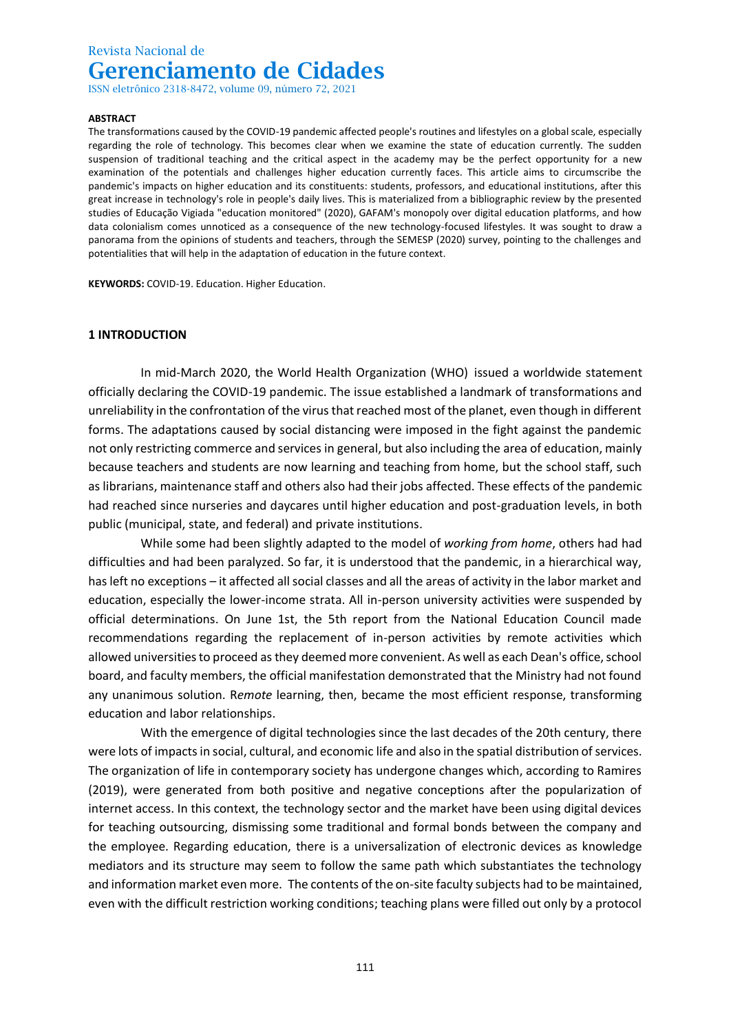ISSN eletrônico 2318-8472, volume 09, número 72, 2021

#### **ABSTRACT**

The transformations caused by the COVID-19 pandemic affected people's routines and lifestyles on a global scale, especially regarding the role of technology. This becomes clear when we examine the state of education currently. The sudden suspension of traditional teaching and the critical aspect in the academy may be the perfect opportunity for a new examination of the potentials and challenges higher education currently faces. This article aims to circumscribe the pandemic's impacts on higher education and its constituents: students, professors, and educational institutions, after this great increase in technology's role in people's daily lives. This is materialized from a bibliographic review by the presented studies of Educação Vigiada "education monitored" (2020), GAFAM's monopoly over digital education platforms, and how data colonialism comes unnoticed as a consequence of the new technology-focused lifestyles. It was sought to draw a panorama from the opinions of students and teachers, through the SEMESP (2020) survey, pointing to the challenges and potentialities that will help in the adaptation of education in the future context.

**KEYWORDS:** COVID-19. Education. Higher Education.

#### **1 INTRODUCTION**

In mid-March 2020, the World Health Organization (WHO) issued a worldwide statement officially declaring the COVID-19 pandemic. The issue established a landmark of transformations and unreliability in the confrontation of the virus that reached most of the planet, even though in different forms. The adaptations caused by social distancing were imposed in the fight against the pandemic not only restricting commerce and services in general, but also including the area of education, mainly because teachers and students are now learning and teaching from home, but the school staff, such as librarians, maintenance staff and others also had their jobs affected. These effects of the pandemic had reached since nurseries and daycares until higher education and post-graduation levels, in both public (municipal, state, and federal) and private institutions.

While some had been slightly adapted to the model of *working from home*, others had had difficulties and had been paralyzed. So far, it is understood that the pandemic, in a hierarchical way, has left no exceptions – it affected all social classes and all the areas of activity in the labor market and education, especially the lower-income strata. All in-person university activities were suspended by official determinations. On June 1st, the 5th report from the National Education Council made recommendations regarding the replacement of in-person activities by remote activities which allowed universities to proceed as they deemed more convenient. As well as each Dean's office, school board, and faculty members, the official manifestation demonstrated that the Ministry had not found any unanimous solution. R*emote* learning, then, became the most efficient response, transforming education and labor relationships.

With the emergence of digital technologies since the last decades of the 20th century, there were lots of impacts in social, cultural, and economic life and also in the spatial distribution of services. The organization of life in contemporary society has undergone changes which, according to Ramires (2019), were generated from both positive and negative conceptions after the popularization of internet access. In this context, the technology sector and the market have been using digital devices for teaching outsourcing, dismissing some traditional and formal bonds between the company and the employee. Regarding education, there is a universalization of electronic devices as knowledge mediators and its structure may seem to follow the same path which substantiates the technology and information market even more. The contents of the on-site faculty subjects had to be maintained, even with the difficult restriction working conditions; teaching plans were filled out only by a protocol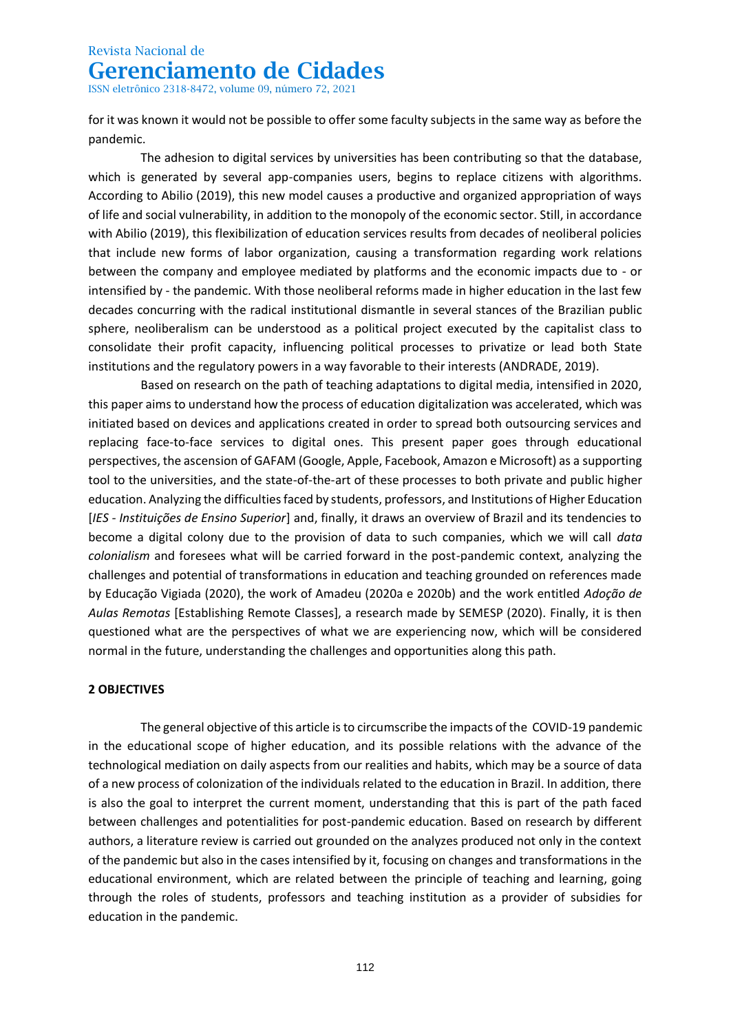ISSN eletrônico 2318-8472, volume 09, número 72, 2021

for it was known it would not be possible to offer some faculty subjects in the same way as before the pandemic.

The adhesion to digital services by universities has been contributing so that the database, which is generated by several app-companies users, begins to replace citizens with algorithms. According to Abilio (2019), this new model causes a productive and organized appropriation of ways of life and social vulnerability, in addition to the monopoly of the economic sector. Still, in accordance with Abilio (2019), this flexibilization of education services results from decades of neoliberal policies that include new forms of labor organization, causing a transformation regarding work relations between the company and employee mediated by platforms and the economic impacts due to - or intensified by - the pandemic. With those neoliberal reforms made in higher education in the last few decades concurring with the radical institutional dismantle in several stances of the Brazilian public sphere, neoliberalism can be understood as a political project executed by the capitalist class to consolidate their profit capacity, influencing political processes to privatize or lead both State institutions and the regulatory powers in a way favorable to their interests (ANDRADE, 2019).

Based on research on the path of teaching adaptations to digital media, intensified in 2020, this paper aims to understand how the process of education digitalization was accelerated, which was initiated based on devices and applications created in order to spread both outsourcing services and replacing face-to-face services to digital ones. This present paper goes through educational perspectives, the ascension of GAFAM (Google, Apple, Facebook, Amazon e Microsoft) as a supporting tool to the universities, and the state-of-the-art of these processes to both private and public higher education. Analyzing the difficulties faced by students, professors, and Institutions of Higher Education [*IES - Instituições de Ensino Superior*] and, finally, it draws an overview of Brazil and its tendencies to become a digital colony due to the provision of data to such companies, which we will call *data colonialism* and foresees what will be carried forward in the post-pandemic context, analyzing the challenges and potential of transformations in education and teaching grounded on references made by Educação Vigiada (2020), the work of Amadeu (2020a e 2020b) and the work entitled *Adoção de Aulas Remotas* [Establishing Remote Classes], a research made by SEMESP (2020). Finally, it is then questioned what are the perspectives of what we are experiencing now, which will be considered normal in the future, understanding the challenges and opportunities along this path.

### **2 OBJECTIVES**

The general objective of this article is to circumscribe the impacts of the COVID-19 pandemic in the educational scope of higher education, and its possible relations with the advance of the technological mediation on daily aspects from our realities and habits, which may be a source of data of a new process of colonization of the individuals related to the education in Brazil. In addition, there is also the goal to interpret the current moment, understanding that this is part of the path faced between challenges and potentialities for post-pandemic education. Based on research by different authors, a literature review is carried out grounded on the analyzes produced not only in the context of the pandemic but also in the cases intensified by it, focusing on changes and transformations in the educational environment, which are related between the principle of teaching and learning, going through the roles of students, professors and teaching institution as a provider of subsidies for education in the pandemic.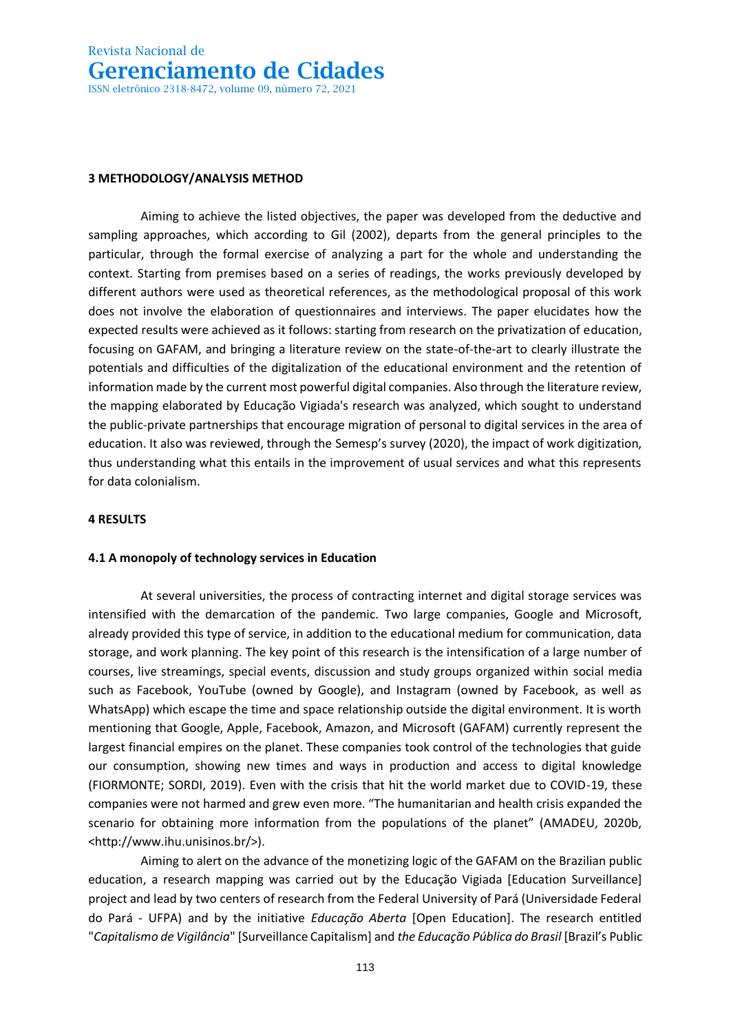ISSN eletrônico 2318-8472, volume 09, número 72, 2021

#### **3 METHODOLOGY/ANALYSIS METHOD**

Aiming to achieve the listed objectives, the paper was developed from the deductive and sampling approaches, which according to Gil (2002), departs from the general principles to the particular, through the formal exercise of analyzing a part for the whole and understanding the context. Starting from premises based on a series of readings, the works previously developed by different authors were used as theoretical references, as the methodological proposal of this work does not involve the elaboration of questionnaires and interviews. The paper elucidates how the expected results were achieved as it follows: starting from research on the privatization of education, focusing on GAFAM, and bringing a literature review on the state-of-the-art to clearly illustrate the potentials and difficulties of the digitalization of the educational environment and the retention of information made by the current most powerful digital companies. Also through the literature review, the mapping elaborated by Educação Vigiada's research was analyzed, which sought to understand the public-private partnerships that encourage migration of personal to digital services in the area of education. It also was reviewed, through the Semesp's survey (2020), the impact of work digitization, thus understanding what this entails in the improvement of usual services and what this represents for data colonialism.

#### **4 RESULTS**

#### **4.1 A monopoly of technology services in Education**

At several universities, the process of contracting internet and digital storage services was intensified with the demarcation of the pandemic. Two large companies, Google and Microsoft, already provided this type of service, in addition to the educational medium for communication, data storage, and work planning. The key point of this research is the intensification of a large number of courses, live streamings, special events, discussion and study groups organized within social media such as Facebook, YouTube (owned by Google), and Instagram (owned by Facebook, as well as WhatsApp) which escape the time and space relationship outside the digital environment. It is worth mentioning that Google, Apple, Facebook, Amazon, and Microsoft (GAFAM) currently represent the largest financial empires on the planet. These companies took control of the technologies that guide our consumption, showing new times and ways in production and access to digital knowledge (FIORMONTE; SORDI, 2019). Even with the crisis that hit the world market due to COVID-19, these companies were not harmed and grew even more. "The [humanitarian and health crisis](http://www.ihu.unisinos.br/600197-previsibilidade-e-a-segunda-onda-da-crise-sanitaria) expanded the scenario for obtaining more information from the populations of the planet" (AMADEU, 2020b, <http://www.ihu.unisinos.br/>).

Aiming to alert on the advance of the monetizing logic of the GAFAM on the Brazilian public education, a research mapping was carried out by the Educação Vigiada [Education Surveillance] project and lead by two centers of research from the Federal University of Pará (Universidade Federal do Pará - UFPA) and by the initiative *[Educação Aberta](https://educacaoaberta.org/)* [\[Open Education\].](https://educacaoaberta.org/) The research entitled "*Capitalismo de Vigilância*" [Surveillance Capitalism] and *the Educação Pública do Brasil* [Brazil's Public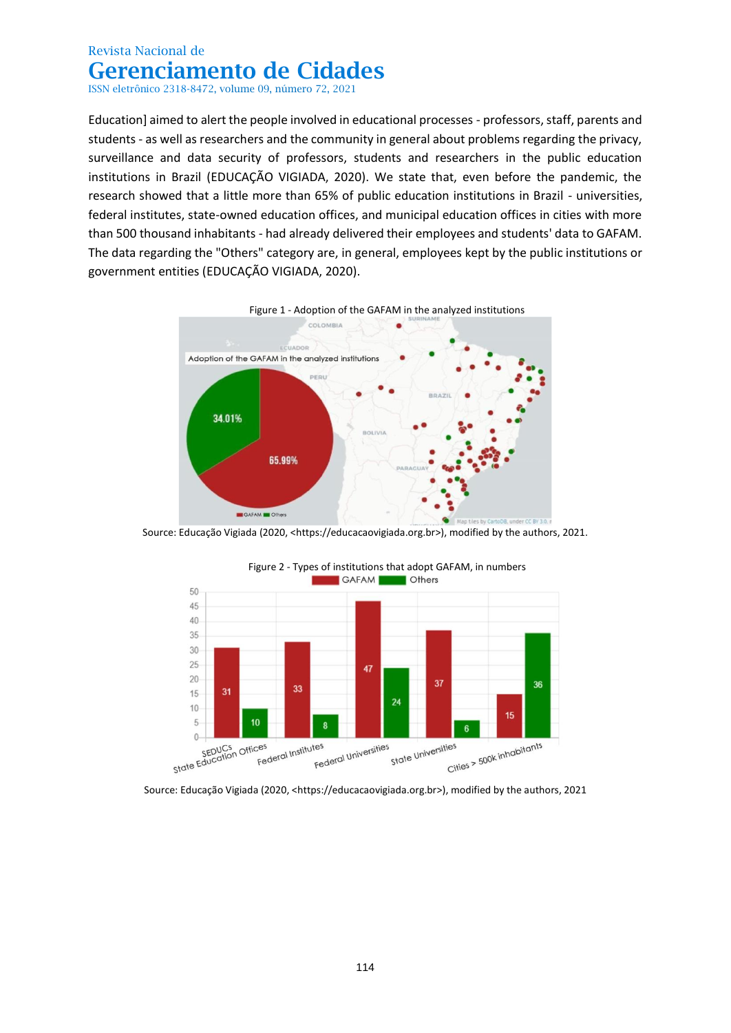ISSN eletrônico 2318-8472, volume 09, número 72, 2021

Education] aimed to alert the people involved in educational processes - professors, staff, parents and students - as well as researchers and the community in general about problems regarding the privacy, surveillance and data security of professors, students and researchers in the public education institutions in Brazil (EDUCAÇÃO VIGIADA, 2020). We state that, even before the pandemic, the research showed that a little more than 65% of public education institutions in Brazil - universities, federal institutes, state-owned education offices, and municipal education offices in cities with more than 500 thousand inhabitants - had already delivered their employees and students' data to GAFAM. The data regarding the "Others" category are, in general, employees kept by the public institutions or government entities (EDUCAÇÃO VIGIADA, 2020).



Source: Educação Vigiada (2020, [<https://educacaovigiada.org.br>](https://educacaovigiada.org.br/)), modified by the authors, 2021.



Figure 2 - Types of institutions that adopt GAFAM, in numbers<br>GAFAM CHES

Source: Educação Vigiada (2020, [<https://educacaovigiada.org.br>](https://educacaovigiada.org.br/)), modified by the authors, 2021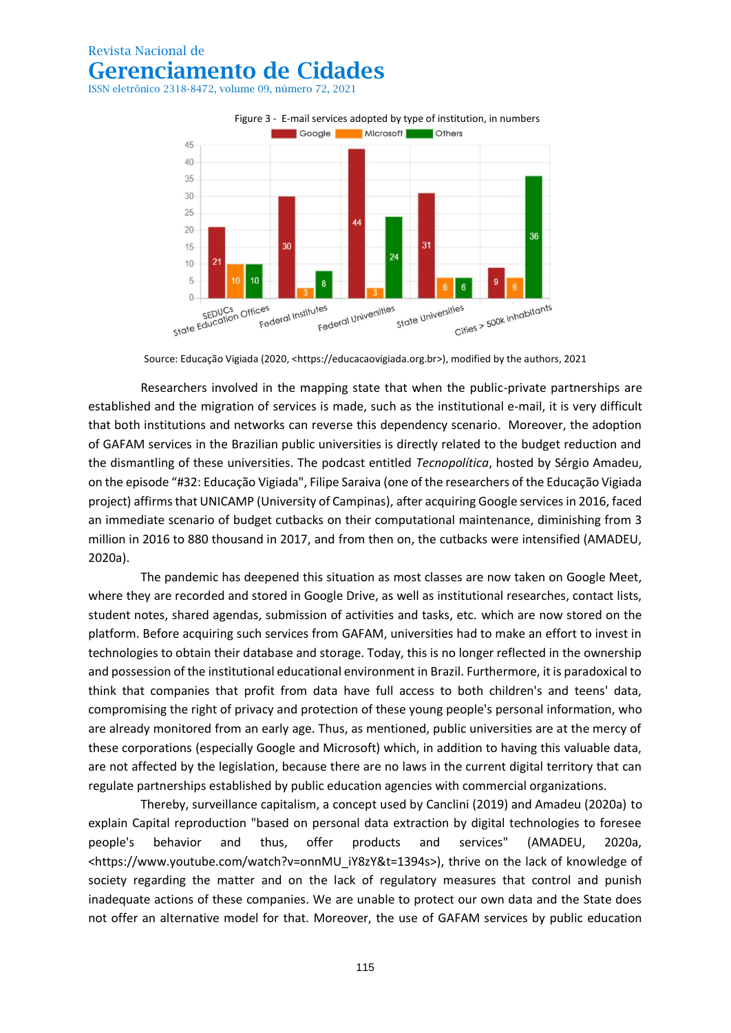ISSN eletrônico 2318-8472, volume 09, número 72, 2021



Source: Educação Vigiada (2020, [<https://educacaovigiada.org.br>](https://educacaovigiada.org.br/)), modified by the authors, 2021

Researchers involved in the mapping state that when the public-private partnerships are established and the migration of services is made, such as the institutional e-mail, it is very difficult that both institutions and networks can reverse this dependency scenario. Moreover, the adoption of GAFAM services in the Brazilian public universities is directly related to the budget reduction and the dismantling of these universities. The podcast entitled *Tecnopolítica*, hosted by Sérgio Amadeu, on the episode "#32: Educação Vigiada", Filipe Saraiva (one of the researchers of the Educação Vigiada project) affirms that UNICAMP (University of Campinas), after acquiring Google services in 2016, faced an immediate scenario of budget cutbacks on their computational maintenance, diminishing from 3 million in 2016 to 880 thousand in 2017, and from then on, the cutbacks were intensified (AMADEU, 2020a).

The pandemic has deepened this situation as most classes are now taken on Google Meet, where they are recorded and stored in Google Drive, as well as institutional researches, contact lists, student notes, shared agendas, submission of activities and tasks, etc. which are now stored on the platform. Before acquiring such services from GAFAM, universities had to make an effort to invest in technologies to obtain their database and storage. Today, this is no longer reflected in the ownership and possession of the institutional educational environment in Brazil. Furthermore, it is paradoxical to think that companies that profit from data have full access to both children's and teens' data, compromising the right of privacy and protection of these young people's personal information, who are already monitored from an early age. Thus, as mentioned, public universities are at the mercy of these corporations (especially Google and Microsoft) which, in addition to having this valuable data, are not affected by the legislation, because there are no laws in the current digital territory that can regulate partnerships established by public education agencies with commercial organizations.

Thereby, surveillance capitalism, a concept used by Canclini (2019) and Amadeu (2020a) to explain Capital reproduction "based on personal data extraction by digital technologies to foresee people's behavior and thus, offer products and services" (AMADEU, 2020a, <https://www.youtube.com/watch?v=onnMU\_iY8zY&t=1394s>), thrive on the lack of knowledge of society regarding the matter and on the lack of regulatory measures that control and punish inadequate actions of these companies. We are unable to protect our own data and the State does not offer an alternative model for that. Moreover, the use of GAFAM services by public education

115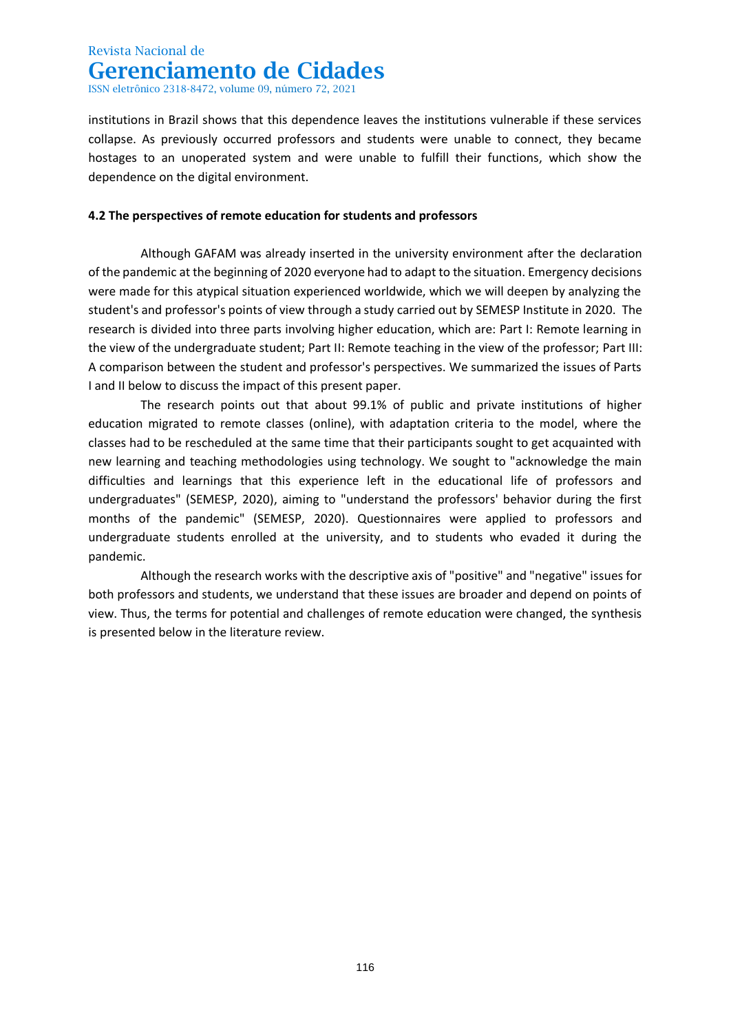ISSN eletrônico 2318-8472, volume 09, número 72, 2021

institutions in Brazil shows that this dependence leaves the institutions vulnerable if these services collapse. As previously occurred professors and students were unable to connect, they became hostages to an unoperated system and were unable to fulfill their functions, which show the dependence on the digital environment.

### **4.2 The perspectives of remote education for students and professors**

Although GAFAM was already inserted in the university environment after the declaration of the pandemic at the beginning of 2020 everyone had to adapt to the situation. Emergency decisions were made for this atypical situation experienced worldwide, which we will deepen by analyzing the student's and professor's points of view through a study carried out by SEMESP Institute in 2020. The research is divided into three parts involving higher education, which are: Part I: Remote learning in the view of the undergraduate student; Part II: Remote teaching in the view of the professor; Part III: A comparison between the student and professor's perspectives. We summarized the issues of Parts I and II below to discuss the impact of this present paper.

The research points out that about 99.1% of public and private institutions of higher education migrated to remote classes (online), with adaptation criteria to the model, where the classes had to be rescheduled at the same time that their participants sought to get acquainted with new learning and teaching methodologies using technology. We sought to "acknowledge the main difficulties and learnings that this experience left in the educational life of professors and undergraduates" (SEMESP, 2020), aiming to "understand the professors' behavior during the first months of the pandemic" (SEMESP, 2020). Questionnaires were applied to professors and undergraduate students enrolled at the university, and to students who evaded it during the pandemic.

Although the research works with the descriptive axis of "positive" and "negative" issues for both professors and students, we understand that these issues are broader and depend on points of view. Thus, the terms for potential and challenges of remote education were changed, the synthesis is presented below in the literature review.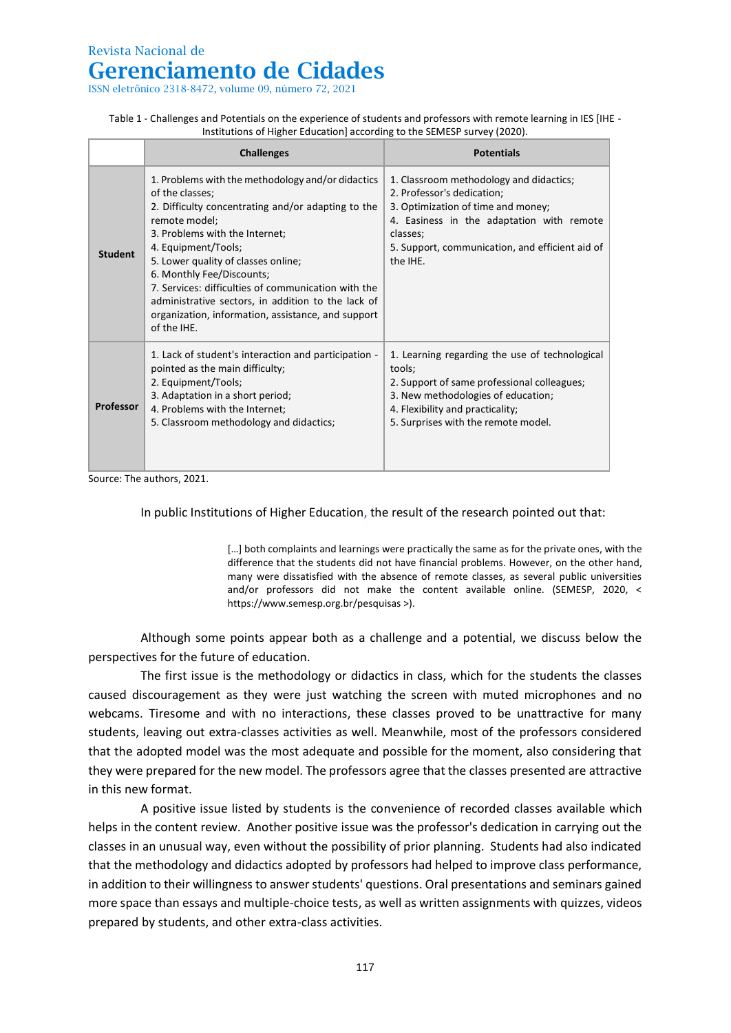ISSN eletrônico 2318-8472, volume 09, número 72, 2021

| Table 1 - Challenges and Potentials on the experience of students and professors with remote learning in IES [IHE - |
|---------------------------------------------------------------------------------------------------------------------|
| Institutions of Higher Education] according to the SEMESP survey (2020).                                            |

|                  | <b>Challenges</b>                                                                                                                                                                                                                                                                                                                                                                                                                                          | <b>Potentials</b>                                                                                                                                                                                                                   |
|------------------|------------------------------------------------------------------------------------------------------------------------------------------------------------------------------------------------------------------------------------------------------------------------------------------------------------------------------------------------------------------------------------------------------------------------------------------------------------|-------------------------------------------------------------------------------------------------------------------------------------------------------------------------------------------------------------------------------------|
| <b>Student</b>   | 1. Problems with the methodology and/or didactics<br>of the classes;<br>2. Difficulty concentrating and/or adapting to the<br>remote model;<br>3. Problems with the Internet;<br>4. Equipment/Tools;<br>5. Lower quality of classes online;<br>6. Monthly Fee/Discounts;<br>7. Services: difficulties of communication with the<br>administrative sectors, in addition to the lack of<br>organization, information, assistance, and support<br>of the IHE. | 1. Classroom methodology and didactics;<br>2. Professor's dedication;<br>3. Optimization of time and money;<br>4. Easiness in the adaptation with remote<br>classes;<br>5. Support, communication, and efficient aid of<br>the IHE. |
| <b>Professor</b> | 1. Lack of student's interaction and participation -<br>pointed as the main difficulty;<br>2. Equipment/Tools;<br>3. Adaptation in a short period;<br>4. Problems with the Internet;<br>5. Classroom methodology and didactics;                                                                                                                                                                                                                            | 1. Learning regarding the use of technological<br>tools:<br>2. Support of same professional colleagues;<br>3. New methodologies of education;<br>4. Flexibility and practicality;<br>5. Surprises with the remote model.            |

Source: The authors, 2021.

In public Institutions of Higher Education, the result of the research pointed out that:

[...] both complaints and learnings were practically the same as for the private ones, with the difference that the students did not have financial problems. However, on the other hand, many were dissatisfied with the absence of remote classes, as several public universities and/or professors did not make the content available online. (SEMESP, 2020, < https://www.semesp.org.br/pesquisas >).

Although some points appear both as a challenge and a potential, we discuss below the perspectives for the future of education.

The first issue is the methodology or didactics in class, which for the students the classes caused discouragement as they were just watching the screen with muted microphones and no webcams. Tiresome and with no interactions, these classes proved to be unattractive for many students, leaving out extra-classes activities as well. Meanwhile, most of the professors considered that the adopted model was the most adequate and possible for the moment, also considering that they were prepared for the new model. The professors agree that the classes presented are attractive in this new format.

A positive issue listed by students is the convenience of recorded classes available which helps in the content review. Another positive issue was the professor's dedication in carrying out the classes in an unusual way, even without the possibility of prior planning. Students had also indicated that the methodology and didactics adopted by professors had helped to improve class performance, in addition to their willingness to answer students' questions. Oral presentations and seminars gained more space than essays and multiple-choice tests, as well as written assignments with quizzes, videos prepared by students, and other extra-class activities.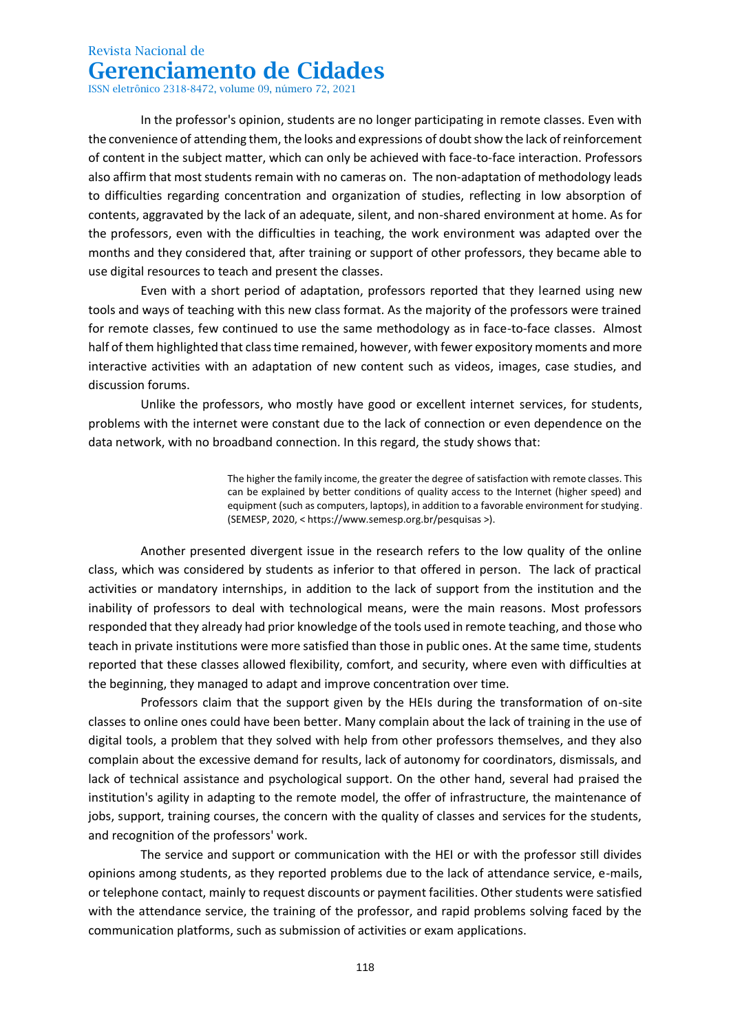ISSN eletrônico 2318-8472, volume 09, número 72, 2021

In the professor's opinion, students are no longer participating in remote classes. Even with the convenience of attending them, the looks and expressions of doubt show the lack of reinforcement of content in the subject matter, which can only be achieved with face-to-face interaction. Professors also affirm that most students remain with no cameras on. The non-adaptation of methodology leads to difficulties regarding concentration and organization of studies, reflecting in low absorption of contents, aggravated by the lack of an adequate, silent, and non-shared environment at home. As for the professors, even with the difficulties in teaching, the work environment was adapted over the months and they considered that, after training or support of other professors, they became able to use digital resources to teach and present the classes.

Even with a short period of adaptation, professors reported that they learned using new tools and ways of teaching with this new class format. As the majority of the professors were trained for remote classes, few continued to use the same methodology as in face-to-face classes. Almost half of them highlighted that class time remained, however, with fewer expository moments and more interactive activities with an adaptation of new content such as videos, images, case studies, and discussion forums.

Unlike the professors, who mostly have good or excellent internet services, for students, problems with the internet were constant due to the lack of connection or even dependence on the data network, with no broadband connection. In this regard, the study shows that:

> The higher the family income, the greater the degree of satisfaction with remote classes. This can be explained by better conditions of quality access to the Internet (higher speed) and equipment (such as computers, laptops), in addition to a favorable environment for studying. (SEMESP, 2020, < https://www.semesp.org.br/pesquisas >).

Another presented divergent issue in the research refers to the low quality of the online class, which was considered by students as inferior to that offered in person. The lack of practical activities or mandatory internships, in addition to the lack of support from the institution and the inability of professors to deal with technological means, were the main reasons. Most professors responded that they already had prior knowledge of the tools used in remote teaching, and those who teach in private institutions were more satisfied than those in public ones. At the same time, students reported that these classes allowed flexibility, comfort, and security, where even with difficulties at the beginning, they managed to adapt and improve concentration over time.

Professors claim that the support given by the HEIs during the transformation of on-site classes to online ones could have been better. Many complain about the lack of training in the use of digital tools, a problem that they solved with help from other professors themselves, and they also complain about the excessive demand for results, lack of autonomy for coordinators, dismissals, and lack of technical assistance and psychological support. On the other hand, several had praised the institution's agility in adapting to the remote model, the offer of infrastructure, the maintenance of jobs, support, training courses, the concern with the quality of classes and services for the students, and recognition of the professors' work.

The service and support or communication with the HEI or with the professor still divides opinions among students, as they reported problems due to the lack of attendance service, e-mails, or telephone contact, mainly to request discounts or payment facilities. Other students were satisfied with the attendance service, the training of the professor, and rapid problems solving faced by the communication platforms, such as submission of activities or exam applications.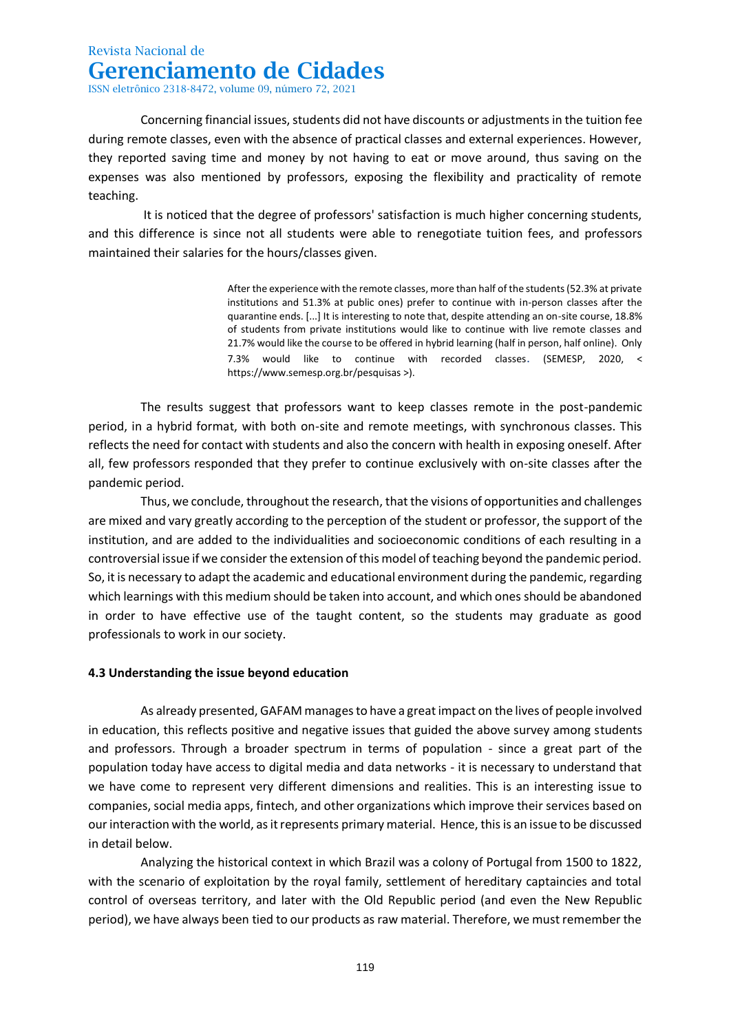ISSN eletrônico 2318-8472, volume 09, número 72, 2021

Concerning financial issues, students did not have discounts or adjustments in the tuition fee during remote classes, even with the absence of practical classes and external experiences. However, they reported saving time and money by not having to eat or move around, thus saving on the expenses was also mentioned by professors, exposing the flexibility and practicality of remote teaching.

It is noticed that the degree of professors' satisfaction is much higher concerning students, and this difference is since not all students were able to renegotiate tuition fees, and professors maintained their salaries for the hours/classes given.

> After the experience with the remote classes, more than half of the students (52.3% at private institutions and 51.3% at public ones) prefer to continue with in-person classes after the quarantine ends. [...] It is interesting to note that, despite attending an on-site course, 18.8% of students from private institutions would like to continue with live remote classes and 21.7% would like the course to be offered in hybrid learning (half in person, half online). Only 7.3% would like to continue with recorded classes. (SEMESP, 2020, < https://www.semesp.org.br/pesquisas >).

The results suggest that professors want to keep classes remote in the post-pandemic period, in a hybrid format, with both on-site and remote meetings, with synchronous classes. This reflects the need for contact with students and also the concern with health in exposing oneself. After all, few professors responded that they prefer to continue exclusively with on-site classes after the pandemic period.

Thus, we conclude, throughout the research, that the visions of opportunities and challenges are mixed and vary greatly according to the perception of the student or professor, the support of the institution, and are added to the individualities and socioeconomic conditions of each resulting in a controversial issue if we consider the extension of this model of teaching beyond the pandemic period. So, it is necessary to adapt the academic and educational environment during the pandemic, regarding which learnings with this medium should be taken into account, and which ones should be abandoned in order to have effective use of the taught content, so the students may graduate as good professionals to work in our society.

#### **4.3 Understanding the issue beyond education**

As already presented, GAFAM manages to have a great impact on the lives of people involved in education, this reflects positive and negative issues that guided the above survey among students and professors. Through a broader spectrum in terms of population - since a great part of the population today have access to digital media and data networks - it is necessary to understand that we have come to represent very different dimensions and realities. This is an interesting issue to companies, social media apps, fintech, and other organizations which improve their services based on our interaction with the world, as it represents primary material. Hence, this is an issue to be discussed in detail below.

Analyzing the historical context in which Brazil was a colony of Portugal from 1500 to 1822, with the scenario of exploitation by the royal family, settlement of hereditary captaincies and total control of overseas territory, and later with the Old Republic period (and even the New Republic period), we have always been tied to our products as raw material. Therefore, we must remember the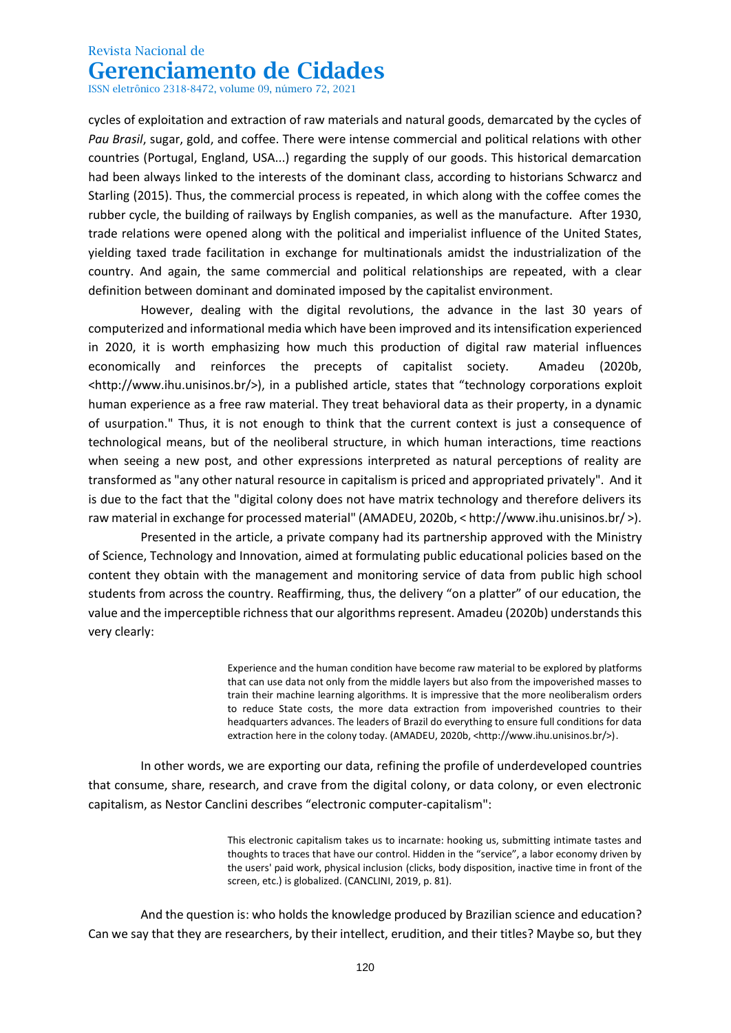ISSN eletrônico 2318-8472, volume 09, número 72, 2021

cycles of exploitation and extraction of raw materials and natural goods, demarcated by the cycles of *Pau Brasil*, sugar, gold, and coffee. There were intense commercial and political relations with other countries (Portugal, England, USA...) regarding the supply of our goods. This historical demarcation had been always linked to the interests of the dominant class, according to historians Schwarcz and Starling (2015). Thus, the commercial process is repeated, in which along with the coffee comes the rubber cycle, the building of railways by English companies, as well as the manufacture. After 1930, trade relations were opened along with the political and imperialist influence of the United States, yielding taxed trade facilitation in exchange for multinationals amidst the industrialization of the country. And again, the same commercial and political relationships are repeated, with a clear definition between dominant and dominated imposed by the capitalist environment.

However, dealing with the digital revolutions, the advance in the last 30 years of computerized and informational media which have been improved and its intensification experienced in 2020, it is worth emphasizing how much this production of digital raw material influences economically and reinforces the precepts of capitalist society. Amadeu (2020b, <http://www.ihu.unisinos.br/>), in a published article, states that "technology corporations exploit human experience as a free raw material. They treat behavioral data as their property, in a dynamic of usurpation." Thus, it is not enough to think that the current context is just a consequence of technological means, but of the neoliberal structure, in which human interactions, time reactions when seeing a new post, and other expressions interpreted as natural perceptions of reality are transformed as "any other natural resource in capitalism is priced and appropriated privately". And it is due to the fact that the "digital colony does not have matrix technology and therefore delivers its raw material in exchange for processed material" (AMADEU, 2020b, < http://www.ihu.unisinos.br/ >).

Presented in the article, a private company had its partnership approved with the Ministry of Science, Technology and Innovation, aimed at formulating public educational policies based on the content they obtain with the management and monitoring service of data from public high school students from across the country. Reaffirming, thus, the delivery "on a platter" of our education, the value and the imperceptible richness that our algorithms represent. Amadeu (2020b) understands this very clearly:

> Experience and the human condition have become raw material to be explored by platforms that can use data not only from the middle layers but also from the impoverished masses to train their machine learning algorithms. It is impressive that the more neoliberalism orders to reduce State costs, the more data extraction from impoverished countries to their headquarters advances. The leaders of Brazil do everything to ensure full conditions for data extraction here in the colony today. (AMADEU, 2020b, <http://www.ihu.unisinos.br/>).

In other words, we are exporting our data, refining the profile of underdeveloped countries that consume, share, research, and crave from the digital colony, or data colony, or even electronic capitalism, as Nestor Canclini describes "electronic computer-capitalism":

> This electronic capitalism takes us to incarnate: hooking us, submitting intimate tastes and thoughts to traces that have our control. Hidden in the "service", a labor economy driven by the users' paid work, physical inclusion (clicks, body disposition, inactive time in front of the screen, etc.) is globalized. (CANCLINI, 2019, p. 81).

And the question is: who holds the knowledge produced by Brazilian science and education? Can we say that they are researchers, by their intellect, erudition, and their titles? Maybe so, but they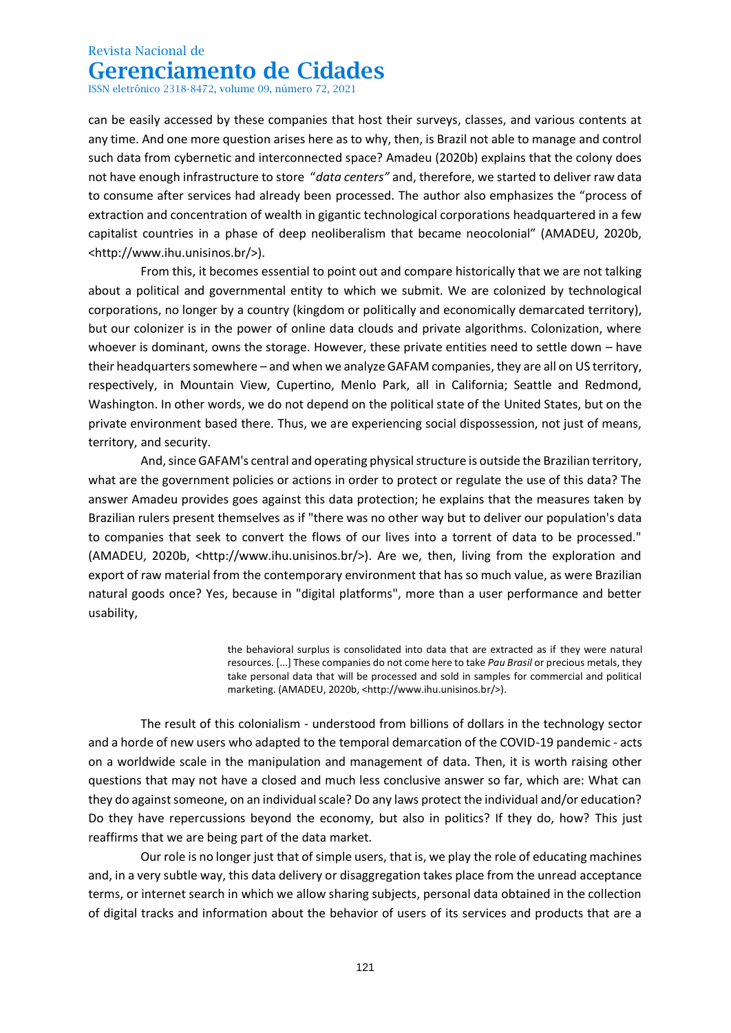ISSN eletrônico 2318-8472, volume 09, número 72, 2021

can be easily accessed by these companies that host their surveys, classes, and various contents at any time. And one more question arises here as to why, then, is Brazil not able to manage and control such data from cybernetic and interconnected space? Amadeu (2020b) explains that the colony does not have enough infrastructure to store "*data centers"* and, therefore, we started to deliver raw data to consume after services had already been processed. The author also emphasizes the "process of extraction and concentration of wealth in gigantic technological corporations headquartered in a few capitalist countries in a phase of deep neoliberalism that became neocolonial" (AMADEU, 2020b, <http://www.ihu.unisinos.br/>).

From this, it becomes essential to point out and compare historically that we are not talking about a political and governmental entity to which we submit. We are colonized by technological corporations, no longer by a country (kingdom or politically and economically demarcated territory), but our colonizer is in the power of online data clouds and private algorithms. Colonization, where whoever is dominant, owns the storage. However, these private entities need to settle down – have their headquarters somewhere – and when we analyze GAFAM companies, they are all on US territory, respectively, in Mountain View, Cupertino, Menlo Park, all in California; Seattle and Redmond, Washington. In other words, we do not depend on the political state of the United States, but on the private environment based there. Thus, we are experiencing social dispossession, not just of means, territory, and security.

And, since GAFAM's central and operating physical structure is outside the Brazilian territory, what are the government policies or actions in order to protect or regulate the use of this data? The answer Amadeu provides goes against this data protection; he explains that the measures taken by Brazilian rulers present themselves as if "there was no other way but to deliver our population's data to companies that seek to convert the flows of our lives into a torrent of data to be processed." (AMADEU, 2020b, <http://www.ihu.unisinos.br/>). Are we, then, living from the exploration and export of raw material from the contemporary environment that has so much value, as were Brazilian natural goods once? Yes, because in "digital platforms", more than a user performance and better usability,

> the behavioral surplus is consolidated into data that are extracted as if they were natural resources. [...] These companies do not come here to take *Pau Brasil* or precious metals, they take personal data that will be processed and sold in samples for commercial and political marketing. (AMADEU, 2020b, <http://www.ihu.unisinos.br/>).

The result of this colonialism - understood from billions of dollars in the technology sector and a horde of new users who adapted to the temporal demarcation of the COVID-19 pandemic - acts on a worldwide scale in the manipulation and management of data. Then, it is worth raising other questions that may not have a closed and much less conclusive answer so far, which are: What can they do against someone, on an individual scale? Do any laws protect the individual and/or education? Do they have repercussions beyond the economy, but also in politics? If they do, how? This just reaffirms that we are being part of the data market.

Our role is no longer just that of simple users, that is, we play the role of educating machines and, in a very subtle way, this data delivery or disaggregation takes place from the unread acceptance terms, or internet search in which we allow sharing subjects, personal data obtained in the collection of digital tracks and information about the behavior of users of its services and products that are a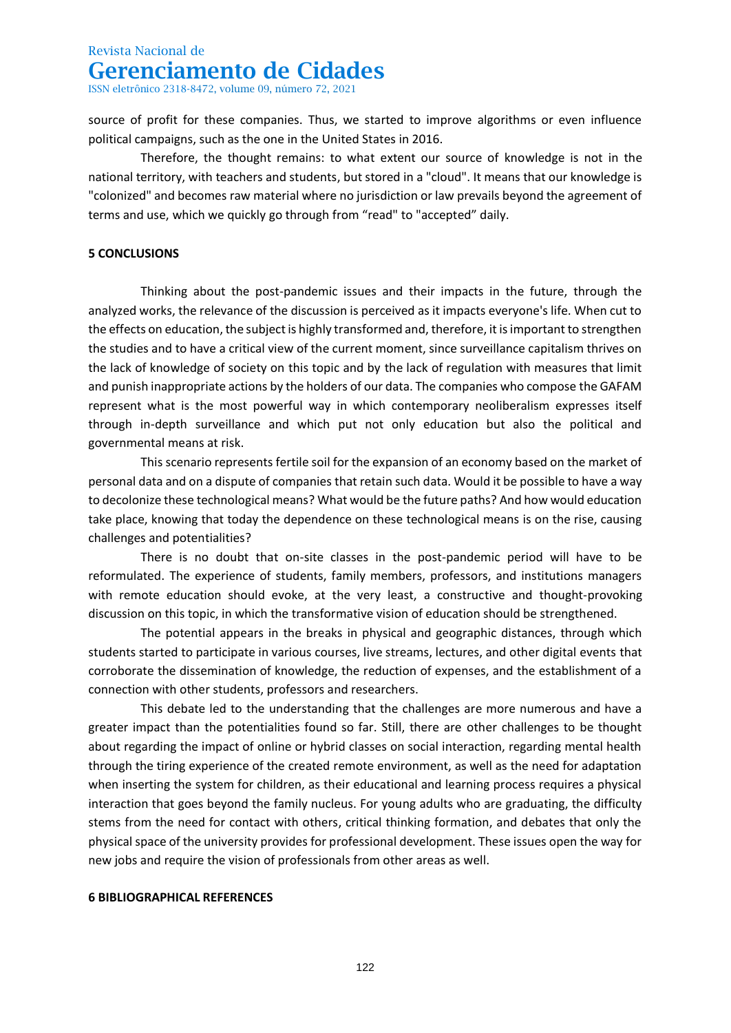ISSN eletrônico 2318-8472, volume 09, número 72, 2021

source of profit for these companies. Thus, we started to improve algorithms or even influence political campaigns, such as the one in the United States in 2016.

Therefore, the thought remains: to what extent our source of knowledge is not in the national territory, with teachers and students, but stored in a "cloud". It means that our knowledge is "colonized" and becomes raw material where no jurisdiction or law prevails beyond the agreement of terms and use, which we quickly go through from "read" to "accepted" daily.

### **5 CONCLUSIONS**

Thinking about the post-pandemic issues and their impacts in the future, through the analyzed works, the relevance of the discussion is perceived as it impacts everyone's life. When cut to the effects on education, the subject is highly transformed and, therefore, it is important to strengthen the studies and to have a critical view of the current moment, since surveillance capitalism thrives on the lack of knowledge of society on this topic and by the lack of regulation with measures that limit and punish inappropriate actions by the holders of our data. The companies who compose the GAFAM represent what is the most powerful way in which contemporary neoliberalism expresses itself through in-depth surveillance and which put not only education but also the political and governmental means at risk.

This scenario represents fertile soil for the expansion of an economy based on the market of personal data and on a dispute of companies that retain such data. Would it be possible to have a way to decolonize these technological means? What would be the future paths? And how would education take place, knowing that today the dependence on these technological means is on the rise, causing challenges and potentialities?

There is no doubt that on-site classes in the post-pandemic period will have to be reformulated. The experience of students, family members, professors, and institutions managers with remote education should evoke, at the very least, a constructive and thought-provoking discussion on this topic, in which the transformative vision of education should be strengthened.

The potential appears in the breaks in physical and geographic distances, through which students started to participate in various courses, live streams, lectures, and other digital events that corroborate the dissemination of knowledge, the reduction of expenses, and the establishment of a connection with other students, professors and researchers.

This debate led to the understanding that the challenges are more numerous and have a greater impact than the potentialities found so far. Still, there are other challenges to be thought about regarding the impact of online or hybrid classes on social interaction, regarding mental health through the tiring experience of the created remote environment, as well as the need for adaptation when inserting the system for children, as their educational and learning process requires a physical interaction that goes beyond the family nucleus. For young adults who are graduating, the difficulty stems from the need for contact with others, critical thinking formation, and debates that only the physical space of the university provides for professional development. These issues open the way for new jobs and require the vision of professionals from other areas as well.

### **6 BIBLIOGRAPHICAL REFERENCES**